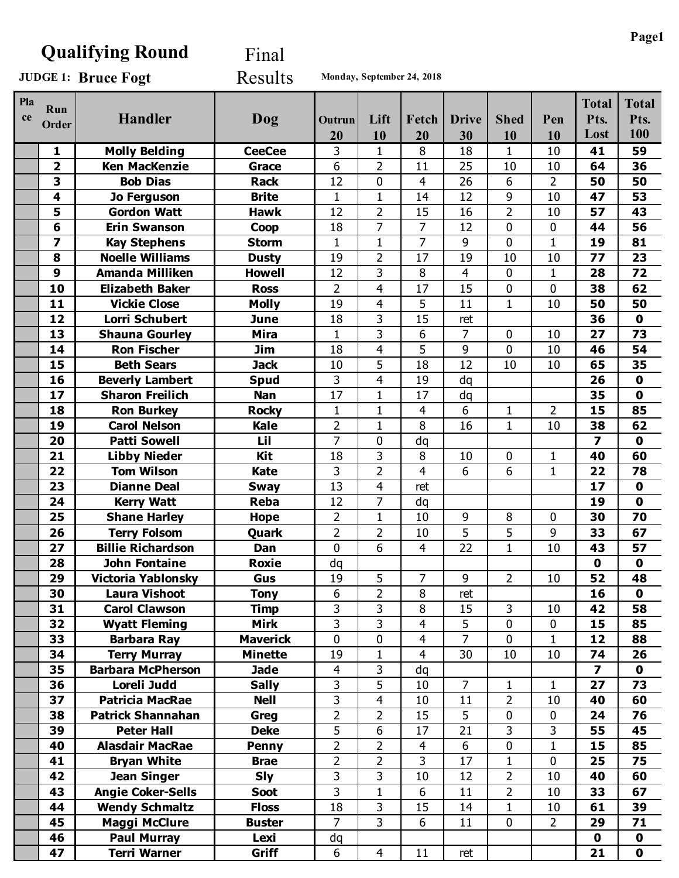| <b>Qualifying Round</b> |                |                            | Final           |                |                |                            |                    |                   |                |                              |                             |
|-------------------------|----------------|----------------------------|-----------------|----------------|----------------|----------------------------|--------------------|-------------------|----------------|------------------------------|-----------------------------|
|                         |                | <b>JUDGE 1: Bruce Fogt</b> | Results         |                |                | Monday, September 24, 2018 |                    |                   |                |                              |                             |
| Pla<br>ce               | Run<br>Order   | <b>Handler</b>             | Dog             | Outrun<br>20   | Lift<br>10     | Fetch<br>20                | <b>Drive</b><br>30 | <b>Shed</b><br>10 | Pen<br>10      | <b>Total</b><br>Pts.<br>Lost | <b>Total</b><br>Pts.<br>100 |
|                         | 1              | <b>Molly Belding</b>       | <b>CeeCee</b>   | 3              | $\mathbf{1}$   | 8                          | 18                 | $\mathbf{1}$      | 10             | 41                           | 59                          |
|                         | $\overline{2}$ | <b>Ken MacKenzie</b>       | Grace           | 6              | $\overline{2}$ | 11                         | 25                 | 10                | 10             | 64                           | 36                          |
|                         | 3              | <b>Bob Dias</b>            | <b>Rack</b>     | 12             | 0              | 4                          | 26                 | 6                 | $\overline{2}$ | 50                           | 50                          |
|                         | 4              | Jo Ferguson                | <b>Brite</b>    | $\mathbf{1}$   | $\mathbf{1}$   | 14                         | 12                 | 9                 | 10             | 47                           | 53                          |
|                         | 5              | <b>Gordon Watt</b>         | <b>Hawk</b>     | 12             | $\overline{2}$ | 15                         | 16                 | $\overline{2}$    | 10             | 57                           | 43                          |
|                         | 6              | <b>Erin Swanson</b>        | Coop            | 18             | $\overline{7}$ | $\overline{7}$             | 12                 | 0                 | 0              | 44                           | 56                          |
|                         | 7              | <b>Kay Stephens</b>        | <b>Storm</b>    | 1              | $\mathbf{1}$   | 7                          | 9                  | 0                 | $\mathbf{1}$   | 19                           | 81                          |
|                         | 8              | <b>Noelle Williams</b>     | <b>Dusty</b>    | 19             | $\overline{2}$ | 17                         | 19                 | 10                | 10             | 77                           | 23                          |
|                         | 9              | <b>Amanda Milliken</b>     | <b>Howell</b>   | 12             | 3              | 8                          | 4                  | 0                 | $\mathbf{1}$   | 28                           | 72                          |
|                         | 10             | <b>Elizabeth Baker</b>     | <b>Ross</b>     | $\overline{2}$ | $\overline{4}$ | 17                         | 15                 | $\overline{0}$    | 0              | 38                           | 62                          |
|                         | 11             | <b>Vickie Close</b>        | <b>Molly</b>    | 19             | $\overline{4}$ | 5                          | 11                 | $\mathbf{1}$      | 10             | 50                           | 50                          |
|                         | 12             | <b>Lorri Schubert</b>      | <b>June</b>     | 18             | 3              | 15                         | ret                |                   |                | 36                           | 0                           |
|                         | 13             | <b>Shauna Gourley</b>      | <b>Mira</b>     | $\mathbf{1}$   | 3              | 6                          | 7                  | $\mathbf 0$       | 10             | 27                           | 73                          |
|                         | 14             | <b>Ron Fischer</b>         | Jim             | 18             | $\overline{4}$ | 5                          | 9                  | 0                 | 10             | 46                           | 54                          |
|                         | 15             | <b>Beth Sears</b>          | <b>Jack</b>     | 10             | 5              | 18                         | 12                 | 10                | 10             | 65                           | 35                          |
|                         | 16             | <b>Beverly Lambert</b>     | <b>Spud</b>     | 3              | $\overline{4}$ | 19                         | dq                 |                   |                | 26                           | 0                           |
|                         | 17             | <b>Sharon Freilich</b>     | <b>Nan</b>      | 17             | $\mathbf{1}$   | 17                         | dq                 |                   |                | 35                           | 0                           |
|                         | 18             | <b>Ron Burkey</b>          | <b>Rocky</b>    | 1              | $\mathbf{1}$   | 4                          | 6                  | $\mathbf{1}$      | $\overline{2}$ | 15                           | 85                          |
|                         | 19             | <b>Carol Nelson</b>        | <b>Kale</b>     | $\overline{2}$ | $\mathbf{1}$   | 8                          | 16                 | $\mathbf{1}$      | 10             | 38                           | 62                          |
|                         | 20             | <b>Patti Sowell</b>        | Lil             | $\overline{7}$ | 0              | dq                         |                    |                   |                | 7                            | 0                           |
|                         | 21             | <b>Libby Nieder</b>        | <b>Kit</b>      | 18             | 3              | 8                          | 10                 | 0                 | $\mathbf{1}$   | 40                           | 60                          |
|                         | 22             | <b>Tom Wilson</b>          | <b>Kate</b>     | 3              | $\overline{2}$ | 4                          | 6                  | 6                 | $\mathbf{1}$   | 22                           | 78                          |
|                         | 23             | <b>Dianne Deal</b>         | Sway            | 13             | $\overline{4}$ | ret                        |                    |                   |                | 17                           | 0                           |
|                         | 24             | <b>Kerry Watt</b>          | <b>Reba</b>     | 12             | 7              | dq                         |                    |                   |                | 19                           | 0                           |
|                         | 25             | <b>Shane Harley</b>        | <b>Hope</b>     | $\overline{2}$ | $\mathbf{1}$   | 10                         | 9                  | 8                 | 0              | 30                           | 70                          |
|                         | 26             | <b>Terry Folsom</b>        | Quark           | $\overline{2}$ | $\overline{2}$ | 10                         | 5                  | 5                 | 9              | 33                           | 67                          |
|                         | 27             | <b>Billie Richardson</b>   | Dan             | 0              | 6              | $\overline{4}$             | 22                 | $\mathbf{1}$      | 10             | 43                           | 57                          |
|                         | 28             | John Fontaine              | <b>Roxie</b>    | dq             |                |                            |                    |                   |                | $\mathbf 0$                  | 0                           |
|                         | 29             | Victoria Yablonsky         | Gus             | 19             | 5              | $\overline{7}$             | 9                  | $2^{\circ}$       | 10             | 52                           | 48                          |
|                         | 30             | Laura Vishoot              | <b>Tony</b>     | 6              | $\overline{2}$ | 8                          | ret                |                   |                | 16                           | 0                           |
|                         | 31             | <b>Carol Clawson</b>       | <b>Timp</b>     | 3              | 3              | 8                          | 15                 | 3                 | 10             | 42                           | 58                          |
|                         | 32             | <b>Wyatt Fleming</b>       | <b>Mirk</b>     | 3              | 3              | $\overline{\mathbf{4}}$    | 5                  | $\mathbf 0$       | $\mathbf 0$    | 15                           | 85                          |
|                         | 33             | <b>Barbara Ray</b>         | <b>Maverick</b> | 0              | $\mathbf 0$    | $\overline{4}$             | $\overline{7}$     | $\mathbf 0$       | $\mathbf{1}$   | 12                           | 88                          |
|                         | 34             | <b>Terry Murray</b>        | <b>Minette</b>  | 19             | $\mathbf{1}$   | $\overline{4}$             | 30                 | 10                | 10             | 74                           | 26                          |
|                         | 35             | <b>Barbara McPherson</b>   | Jade            | $\overline{4}$ | 3              | dq                         |                    |                   |                | $\overline{ }$               | $\mathbf{0}$                |
|                         | 36             | Loreli Judd                | <b>Sally</b>    | 3              | 5              | 10                         | $\overline{7}$     | 1                 | $\mathbf{1}$   | 27                           | 73                          |
|                         | 37             | <b>Patricia MacRae</b>     | <b>Nell</b>     | 3              | $\overline{4}$ | 10                         | 11                 | $\overline{2}$    | 10             | 40                           | 60                          |
|                         | 38             | <b>Patrick Shannahan</b>   | Greg            | $\overline{2}$ | $\overline{2}$ | 15                         | 5                  | 0                 | 0              | 24                           | 76                          |
|                         | 39             | <b>Peter Hall</b>          | <b>Deke</b>     | 5              | 6              | 17                         | 21                 | $\overline{3}$    | 3              | 55                           | 45                          |
|                         | 40             | <b>Alasdair MacRae</b>     | Penny           | $\overline{2}$ | $\overline{2}$ | $\overline{4}$             | 6                  | $\mathbf 0$       | $\mathbf{1}$   | 15                           | 85                          |
|                         | 41             | <b>Bryan White</b>         | <b>Brae</b>     | $\overline{2}$ | $\overline{2}$ | 3                          | 17                 | $\mathbf{1}$      | 0              | 25                           | 75                          |
|                         | 42             | <b>Jean Singer</b>         | <b>Sly</b>      | 3              | 3              | 10                         | 12                 | $\overline{2}$    | 10             | 40                           | 60                          |
|                         | 43             | <b>Angie Coker-Sells</b>   | Soot            | 3              | $\mathbf{1}$   | 6                          | 11                 | $\overline{2}$    | 10             | 33                           | 67                          |
|                         | 44             | <b>Wendy Schmaltz</b>      | <b>Floss</b>    | 18             | 3              | 15                         | 14                 | $\mathbf{1}$      | 10             | 61                           | 39                          |
|                         | 45             | <b>Maggi McClure</b>       | <b>Buster</b>   | $\overline{7}$ | $\overline{3}$ | 6                          | 11                 | 0                 | $\overline{2}$ | 29                           | 71                          |
|                         | 46             | <b>Paul Murray</b>         | Lexi            | dq             |                |                            |                    |                   |                | $\mathbf 0$                  | $\mathbf 0$                 |
|                         | 47             | <b>Terri Warner</b>        | Griff           | 6              | $\overline{4}$ | 11                         | ret                |                   |                | 21                           | $\mathbf 0$                 |

**Page1**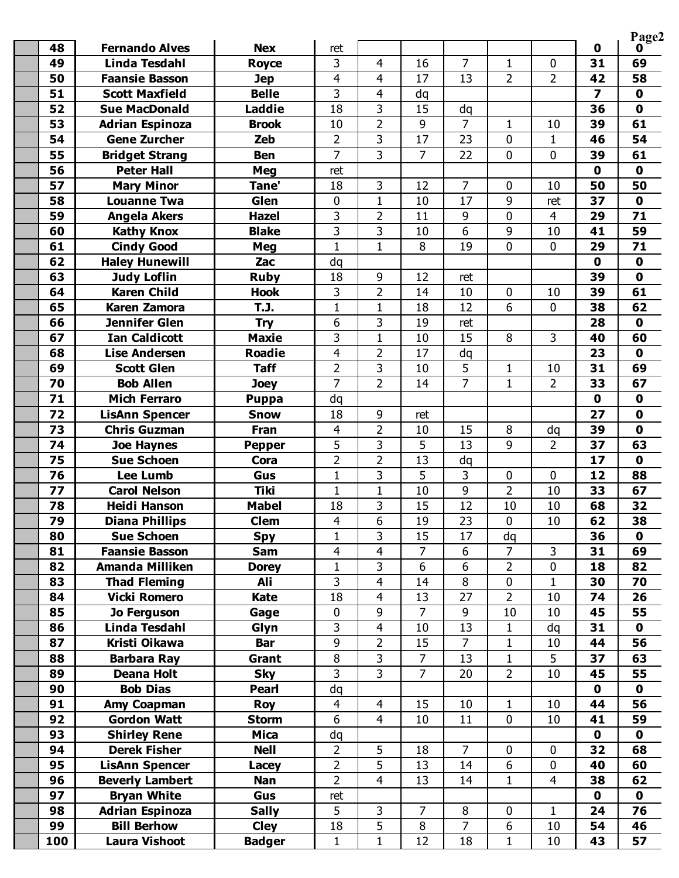|     |                        |               |                |                |                |                |                |                |                         | Page2        |
|-----|------------------------|---------------|----------------|----------------|----------------|----------------|----------------|----------------|-------------------------|--------------|
| 48  | <b>Fernando Alves</b>  | <b>Nex</b>    | ret            |                |                |                |                |                | 0                       | n            |
| 49  | Linda Tesdahl          | <b>Royce</b>  | 3              | 4              | 16             | $\overline{7}$ | 1              | 0              | 31                      | 69           |
| 50  | <b>Faansie Basson</b>  | <b>Jep</b>    | $\overline{4}$ | 4              | 17             | 13             | $\overline{2}$ | $\overline{2}$ | 42                      | 58           |
| 51  | <b>Scott Maxfield</b>  | <b>Belle</b>  | 3              | 4              | dq             |                |                |                | $\overline{\mathbf{z}}$ | $\mathbf 0$  |
| 52  | <b>Sue MacDonald</b>   | Laddie        | 18             | 3              | 15             | dq             |                |                | 36                      | $\mathbf 0$  |
| 53  | <b>Adrian Espinoza</b> | <b>Brook</b>  | 10             | $\overline{2}$ | 9              | 7              | 1              | 10             | 39                      | 61           |
| 54  | <b>Gene Zurcher</b>    | Zeb           | $\overline{2}$ | $\overline{3}$ | 17             | 23             | 0              | $\mathbf{1}$   | 46                      | 54           |
| 55  | <b>Bridget Strang</b>  | <b>Ben</b>    | $\overline{7}$ | 3              | $\overline{7}$ | 22             | 0              | 0              | 39                      | 61           |
| 56  | <b>Peter Hall</b>      | Meg           | ret            |                |                |                |                |                | $\mathbf 0$             | $\mathbf 0$  |
| 57  | <b>Mary Minor</b>      | Tane'         | 18             | 3              | 12             | $\overline{7}$ | $\mathbf{0}$   | 10             | 50                      | 50           |
| 58  | <b>Louanne Twa</b>     | Glen          | 0              | $\mathbf{1}$   | 10             | 17             | 9              | ret            | 37                      | $\mathbf 0$  |
| 59  | <b>Angela Akers</b>    | <b>Hazel</b>  | 3              | $\overline{2}$ | 11             | 9              | $\overline{0}$ | 4              | 29                      | 71           |
| 60  | <b>Kathy Knox</b>      | <b>Blake</b>  | $\overline{3}$ | 3              | 10             | 6              | 9              | 10             | 41                      | 59           |
| 61  | <b>Cindy Good</b>      | Meg           | $\mathbf{1}$   | $\mathbf{1}$   | 8              | 19             | $\mathbf{0}$   | $\mathbf 0$    | 29                      | 71           |
| 62  | <b>Haley Hunewill</b>  | Zac           | dq             |                |                |                |                |                | $\mathbf 0$             | $\mathbf 0$  |
| 63  | <b>Judy Loflin</b>     | <b>Ruby</b>   | 18             | 9              | 12             | ret            |                |                | 39                      | $\mathbf 0$  |
| 64  | <b>Karen Child</b>     | <b>Hook</b>   | 3              | 2              | 14             | 10             | $\mathbf 0$    | 10             | 39                      | 61           |
| 65  | <b>Karen Zamora</b>    | T.J.          | $\mathbf{1}$   | $\mathbf{1}$   | 18             | 12             | 6              | $\mathbf 0$    | 38                      | 62           |
| 66  | <b>Jennifer Glen</b>   | <b>Try</b>    | 6              | 3              | 19             | ret            |                |                | 28                      | $\mathbf 0$  |
| 67  | <b>Ian Caldicott</b>   | <b>Maxie</b>  | 3              | $\mathbf{1}$   | 10             | 15             | 8              | 3              | 40                      | 60           |
| 68  | <b>Lise Andersen</b>   | <b>Roadie</b> | $\overline{4}$ | $\overline{2}$ | 17             | dq             |                |                | 23                      | $\mathbf{0}$ |
| 69  | <b>Scott Glen</b>      | <b>Taff</b>   | $\overline{2}$ | 3              | 10             | 5              | $\mathbf{1}$   | 10             | 31                      | 69           |
| 70  | <b>Bob Allen</b>       | <b>Joey</b>   | $\overline{7}$ | $\overline{2}$ | 14             | $\overline{7}$ | $\mathbf{1}$   | $\overline{2}$ | 33                      | 67           |
| 71  | <b>Mich Ferraro</b>    | <b>Puppa</b>  | dq             |                |                |                |                |                | $\mathbf{0}$            | $\mathbf 0$  |
| 72  | LisAnn Spencer         | <b>Snow</b>   | 18             | 9              | ret            |                |                |                | 27                      | $\mathbf 0$  |
| 73  | <b>Chris Guzman</b>    | <b>Fran</b>   | $\overline{4}$ | $\overline{2}$ | 10             | 15             | 8              | dq             | 39                      | 0            |
| 74  | <b>Joe Haynes</b>      | <b>Pepper</b> | 5              | 3              | 5              | 13             | 9              | $\overline{2}$ | 37                      | 63           |
| 75  | <b>Sue Schoen</b>      | Cora          | $\overline{2}$ | $\overline{2}$ | 13             | dq             |                |                | 17                      | $\mathbf 0$  |
| 76  | Lee Lumb               | Gus           | $\mathbf{1}$   | 3              | 5              | 3              | 0              | $\mathbf 0$    | 12                      | 88           |
| 77  | <b>Carol Nelson</b>    | <b>Tiki</b>   | $\mathbf{1}$   | $\mathbf{1}$   | 10             | 9              | $\overline{2}$ | 10             | 33                      | 67           |
| 78  | <b>Heidi Hanson</b>    | <b>Mabel</b>  | 18             | 3              | 15             | 12             | 10             | 10             | 68                      | 32           |
| 79  | <b>Diana Phillips</b>  | <b>Clem</b>   | $\overline{4}$ | 6              | 19             | 23             | 0              | 10             | 62                      | 38           |
| 80  | <b>Sue Schoen</b>      | <b>Spy</b>    | $\mathbf{1}$   | 3              | 15             | 17             | dq             |                | 36                      | 0            |
| 81  | <b>Faansie Basson</b>  | Sam           | $\overline{4}$ | $\overline{4}$ | $\overline{7}$ | 6              | $\overline{7}$ | 3              | 31                      | 69           |
| 82  | <b>Amanda Milliken</b> | <b>Dorey</b>  | $\mathbf{1}$   | $\overline{3}$ | 6              | 6              | $\overline{2}$ | $\mathbf 0$    | 18                      | 82           |
| 83  | <b>Thad Fleming</b>    | Ali           | $\overline{3}$ | $\overline{4}$ | 14             | 8              | $\pmb{0}$      | $\mathbf{1}$   | 30                      | 70           |
| 84  | <b>Vicki Romero</b>    | <b>Kate</b>   | 18             | $\overline{4}$ | 13             | 27             | $\overline{2}$ | 10             | 74                      | 26           |
| 85  | Jo Ferguson            | Gage          | $\mathbf 0$    | 9              | $\overline{7}$ | 9              | 10             | 10             | 45                      | 55           |
| 86  | Linda Tesdahl          | Glyn          | 3              | $\overline{4}$ | 10             | 13             | $\mathbf{1}$   | dq             | 31                      | $\mathbf 0$  |
| 87  | Kristi Oikawa          | Bar           | 9              | $\overline{2}$ | 15             | $\overline{7}$ | $\mathbf{1}$   | 10             | 44                      | 56           |
| 88  | <b>Barbara Ray</b>     | Grant         | $\overline{8}$ | $\overline{3}$ | $\overline{7}$ | 13             | $\mathbf{1}$   | 5              | 37                      | 63           |
| 89  | Deana Holt             | <b>Sky</b>    | $\overline{3}$ | $\overline{3}$ | $\overline{7}$ | 20             | $\overline{2}$ | 10             | 45                      | 55           |
| 90  | <b>Bob Dias</b>        | Pearl         | dq             |                |                |                |                |                | $\mathbf 0$             | 0            |
| 91  | Amy Coapman            | Roy           | $\overline{4}$ | $\overline{4}$ | 15             | 10             | $\mathbf 1$    | 10             | 44                      | 56           |
| 92  | <b>Gordon Watt</b>     | <b>Storm</b>  | 6              | $\overline{4}$ | 10             | 11             | $\mathbf 0$    | 10             | 41                      | 59           |
| 93  | <b>Shirley Rene</b>    | Mica          | dq             |                |                |                |                |                | $\mathbf 0$             | $\mathbf 0$  |
| 94  | <b>Derek Fisher</b>    | <b>Nell</b>   | $\overline{2}$ | 5              | 18             | $\overline{7}$ | 0              | $\mathbf 0$    | 32                      | 68           |
| 95  | LisAnn Spencer         | <b>Lacey</b>  | $\overline{2}$ | 5              | 13             | 14             | 6              | $\mathbf 0$    | 40                      | 60           |
| 96  | <b>Beverly Lambert</b> | Nan           | $\overline{2}$ | $\overline{4}$ | 13             | 14             | $\mathbf{1}$   | $\overline{4}$ | 38                      | 62           |
| 97  | <b>Bryan White</b>     | Gus           | ret            |                |                |                |                |                | $\mathbf 0$             | $\mathbf 0$  |
| 98  | <b>Adrian Espinoza</b> | <b>Sally</b>  | 5              | 3              | $\overline{7}$ | 8              | 0              | $\mathbf{1}$   | 24                      | 76           |
| 99  | <b>Bill Berhow</b>     | <b>Cley</b>   | 18             | 5              | 8              | $\overline{7}$ | 6              | 10             | 54                      | 46           |
| 100 | Laura Vishoot          | <b>Badger</b> | $\mathbf{1}$   | $\mathbf{1}$   | 12             | 18             | $\mathbf{1}$   | 10             | 43                      | 57           |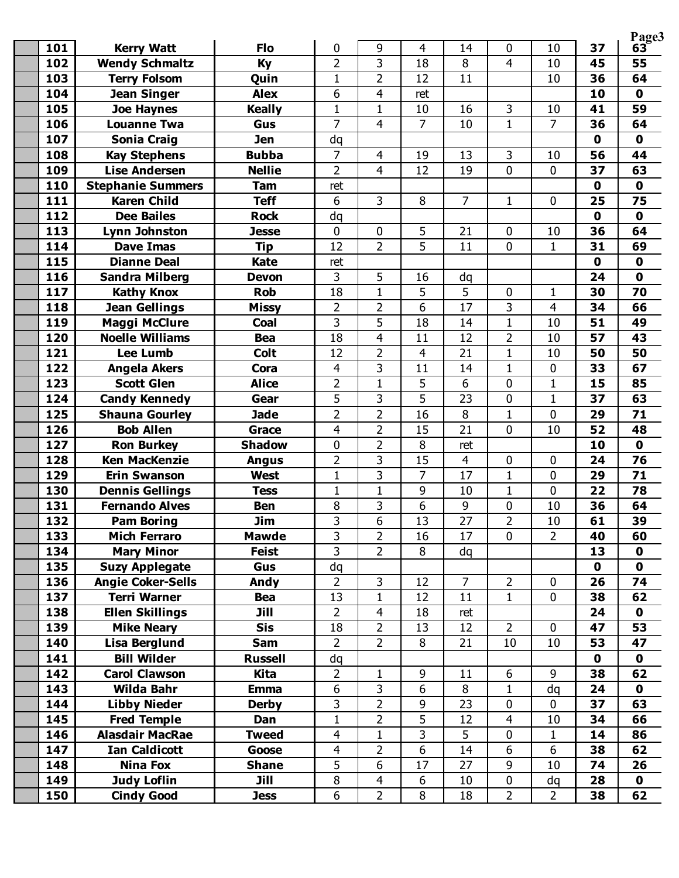|     |                          |                |                  |                |                |                         |                |                |             | Page3           |
|-----|--------------------------|----------------|------------------|----------------|----------------|-------------------------|----------------|----------------|-------------|-----------------|
| 101 | <b>Kerry Watt</b>        | <b>Flo</b>     | 0                | 9              | 4              | 14                      | $\mathbf 0$    | 10             | 37          | 63 <sup>°</sup> |
| 102 | <b>Wendy Schmaltz</b>    | <b>Ky</b>      | $\overline{2}$   | 3              | 18             | 8                       | $\overline{4}$ | 10             | 45          | 55              |
| 103 | <b>Terry Folsom</b>      | Quin           | $\mathbf{1}$     | $\overline{2}$ | 12             | 11                      |                | 10             | 36          | 64              |
| 104 | <b>Jean Singer</b>       | <b>Alex</b>    | 6                | 4              | ret            |                         |                |                | 10          | $\mathbf 0$     |
| 105 | <b>Joe Haynes</b>        | <b>Keally</b>  | $\mathbf{1}$     | $\mathbf{1}$   | 10             | 16                      | $\overline{3}$ | 10             | 41          | 59              |
| 106 | <b>Louanne Twa</b>       | Gus            | $\overline{7}$   | 4              | $\overline{7}$ | 10                      | $\mathbf{1}$   | 7              | 36          | 64              |
| 107 | <b>Sonia Craig</b>       | <b>Jen</b>     | dq               |                |                |                         |                |                | $\mathbf 0$ | $\mathbf 0$     |
| 108 | <b>Kay Stephens</b>      | <b>Bubba</b>   | $\overline{7}$   | $\overline{4}$ | 19             | 13                      | 3              | 10             | 56          | 44              |
| 109 | <b>Lise Andersen</b>     | <b>Nellie</b>  | $\overline{2}$   | 4              | 12             | 19                      | 0              | 0              | 37          | 63              |
| 110 | <b>Stephanie Summers</b> | <b>Tam</b>     | ret              |                |                |                         |                |                | $\mathbf 0$ | $\mathbf 0$     |
| 111 | <b>Karen Child</b>       | <b>Teff</b>    | 6                | 3              | 8              | $\overline{7}$          | 1              | $\mathbf 0$    | 25          | 75              |
| 112 | <b>Dee Bailes</b>        | <b>Rock</b>    | dq               |                |                |                         |                |                | 0           | $\mathbf 0$     |
| 113 | <b>Lynn Johnston</b>     | <b>Jesse</b>   | $\mathbf 0$      | 0              | 5              | 21                      | $\mathbf 0$    | 10             | 36          | 64              |
| 114 | <b>Dave Imas</b>         | Tip            | 12               | $\overline{2}$ | 5              | 11                      | $\mathbf 0$    | 1              | 31          | 69              |
| 115 | <b>Dianne Deal</b>       | <b>Kate</b>    | ret              |                |                |                         |                |                | 0           | $\mathbf 0$     |
| 116 | <b>Sandra Milberg</b>    | <b>Devon</b>   | 3                | 5              | 16             | dq                      |                |                | 24          | $\mathbf 0$     |
| 117 | <b>Kathy Knox</b>        | <b>Rob</b>     | 18               | 1              | 5              | 5                       | 0              | 1              | 30          | 70              |
| 118 | <b>Jean Gellings</b>     | <b>Missy</b>   | $\overline{2}$   | 2              | 6              | 17                      | 3              | 4              | 34          | 66              |
| 119 | <b>Maggi McClure</b>     | <b>Coal</b>    | 3                | 5              | 18             | 14                      | $\mathbf{1}$   | 10             | 51          | 49              |
| 120 | <b>Noelle Williams</b>   | <b>Bea</b>     | 18               | 4              | 11             | 12                      | $\overline{2}$ | 10             | 57          | 43              |
| 121 | Lee Lumb                 | <b>Colt</b>    | 12               | $\overline{2}$ | 4              | 21                      | $\mathbf{1}$   | 10             | 50          | 50              |
| 122 | <b>Angela Akers</b>      | Cora           | $\overline{4}$   | 3              | 11             | 14                      | $\mathbf{1}$   | 0              | 33          | 67              |
| 123 | <b>Scott Glen</b>        | <b>Alice</b>   | $\overline{2}$   | $\mathbf{1}$   | 5              | 6                       | $\mathbf{0}$   | $\mathbf 1$    | 15          | 85              |
| 124 | <b>Candy Kennedy</b>     | Gear           | 5                | 3              | 5              | 23                      | 0              | 1              | 37          | 63              |
| 125 | <b>Shauna Gourley</b>    | <b>Jade</b>    | $\overline{2}$   | $\overline{2}$ | 16             | 8                       | $\mathbf{1}$   | 0              | 29          | 71              |
| 126 | <b>Bob Allen</b>         | Grace          | $\overline{4}$   | $\overline{2}$ | 15             | 21                      | $\mathbf 0$    | 10             | 52          | 48              |
| 127 | <b>Ron Burkey</b>        | <b>Shadow</b>  | 0                | $\overline{2}$ | 8              | ret                     |                |                | 10          | $\mathbf 0$     |
| 128 | <b>Ken MacKenzie</b>     | <b>Angus</b>   | $\overline{2}$   | 3              | 15             | $\overline{\mathbf{4}}$ | $\mathbf 0$    | 0              | 24          | 76              |
| 129 | <b>Erin Swanson</b>      | <b>West</b>    | $\mathbf{1}$     | 3              | $\overline{7}$ | 17                      | $\mathbf{1}$   | 0              | 29          | 71              |
| 130 | <b>Dennis Gellings</b>   | <b>Tess</b>    | $\mathbf{1}$     | $\mathbf{1}$   | 9              | 10                      | $\mathbf{1}$   | 0              | 22          | 78              |
| 131 | <b>Fernando Alves</b>    | <b>Ben</b>     | 8                | 3              | 6              | 9                       | $\mathbf 0$    | 10             | 36          | 64              |
| 132 | <b>Pam Boring</b>        | <b>Jim</b>     | 3                | 6              | 13             | 27                      | $\overline{2}$ | 10             | 61          | 39              |
| 133 | <b>Mich Ferraro</b>      | <b>Mawde</b>   | 3                | $\overline{2}$ | 16             | 17                      | $\mathbf 0$    | $\overline{2}$ | 40          | 60              |
| 134 | <b>Mary Minor</b>        | <b>Feist</b>   | $\overline{3}$   | $\overline{2}$ | 8              | dq                      |                |                | 13          | 0               |
| 135 | <b>Suzy Applegate</b>    | Gus            | dq               |                |                |                         |                |                | $\mathbf 0$ | $\mathbf 0$     |
| 136 | <b>Angie Coker-Sells</b> | <b>Andy</b>    | $\overline{2}$   | 3              | 12             | $\overline{7}$          | $\overline{2}$ | $\mathbf 0$    | 26          | 74              |
| 137 | <b>Terri Warner</b>      | Bea            | 13               | $\mathbf{1}$   | 12             | 11                      | $\mathbf{1}$   | $\mathbf 0$    | 38          | 62              |
| 138 | <b>Ellen Skillings</b>   | Jill           | $\overline{2}$   | $\overline{4}$ | 18             | ret                     |                |                | 24          | $\mathbf 0$     |
| 139 | <b>Mike Neary</b>        | <b>Sis</b>     | 18               | $\overline{2}$ | 13             | 12                      | $\overline{2}$ | $\mathbf 0$    | 47          | 53              |
| 140 | Lisa Berglund            | Sam            | $\overline{2}$   | $\overline{2}$ | 8              | 21                      | 10             | 10             | 53          | 47              |
| 141 | <b>Bill Wilder</b>       | <b>Russell</b> | dq               |                |                |                         |                |                | 0           | 0               |
| 142 | <b>Carol Clawson</b>     | Kita           | $\overline{2}$   | $\mathbf{1}$   | 9              | 11                      | 6              | 9              | 38          | 62              |
| 143 | Wilda Bahr               | <b>Emma</b>    | 6                | $\overline{3}$ | 6              | 8                       | $\mathbf{1}$   | dq             | 24          | $\mathbf 0$     |
| 144 | <b>Libby Nieder</b>      | <b>Derby</b>   | 3                | $\overline{2}$ | 9              | 23                      | $\mathbf 0$    | 0              | 37          | 63              |
| 145 | <b>Fred Temple</b>       | Dan            | $\mathbf{1}$     | $\overline{2}$ | 5              | 12                      | $\overline{4}$ | 10             | 34          | 66              |
| 146 | <b>Alasdair MacRae</b>   | <b>Tweed</b>   | $\overline{4}$   | $\mathbf{1}$   | 3              | 5                       | $\mathbf 0$    | $\mathbf{1}$   | 14          | 86              |
| 147 | <b>Ian Caldicott</b>     | Goose          | $\overline{4}$   | $\overline{2}$ | $\overline{6}$ | 14                      | 6              | 6              | 38          | 62              |
| 148 | <b>Nina Fox</b>          | <b>Shane</b>   | 5                | 6              | 17             | 27                      | 9              | 10             | 74          | 26              |
| 149 | <b>Judy Loflin</b>       | Jill           | 8                | $\overline{4}$ | 6              | 10                      | $\pmb{0}$      | dq             | 28          | $\mathbf 0$     |
| 150 | <b>Cindy Good</b>        | <b>Jess</b>    | $\boldsymbol{6}$ | $\overline{2}$ | 8              | 18                      | $2^{\circ}$    | $\overline{2}$ | 38          | 62              |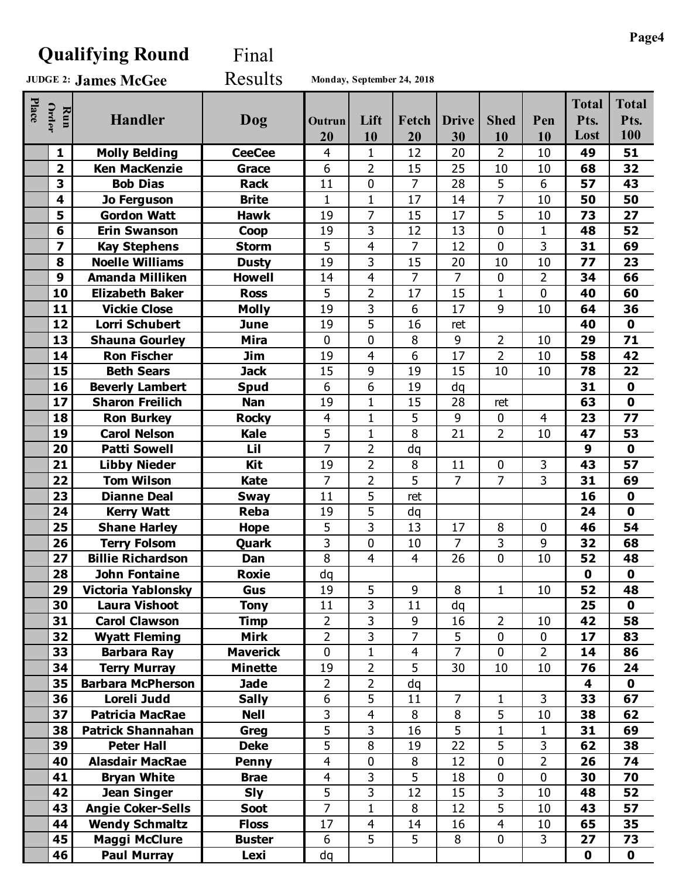## **Qualifying Round** Final

**James McGee JUDGE 2:** Results **Monday, September 24, 2018**

|                |                                                 |                 |                         |                |                |                |                |                | <b>Total</b> | <b>Total</b> |
|----------------|-------------------------------------------------|-----------------|-------------------------|----------------|----------------|----------------|----------------|----------------|--------------|--------------|
| Place<br>Order | Run<br><b>Handler</b>                           | Dog             | Outrun                  | Lift           | Fetch          | <b>Drive</b>   | <b>Shed</b>    | Pen            | Pts.         | Pts.         |
|                |                                                 |                 | 20                      | 10             | 20             | 30             | 10             | 10             | Lost         | 100          |
| 1              | <b>Molly Belding</b>                            | <b>CeeCee</b>   | 4                       | $\mathbf{1}$   | 12             | 20             | $\overline{2}$ | 10             | 49           | 51           |
|                | $\overline{\mathbf{2}}$<br><b>Ken MacKenzie</b> | Grace           | $\overline{6}$          | $\overline{2}$ | 15             | 25             | 10             | 10             | 68           | 32           |
| 3              | <b>Bob Dias</b>                                 | <b>Rack</b>     | 11                      | 0              | $\overline{7}$ | 28             | 5              | 6              | 57           | 43           |
| 4              | <b>Jo Ferguson</b>                              | <b>Brite</b>    | $\mathbf{1}$            | $\mathbf{1}$   | 17             | 14             | $\overline{7}$ | 10             | 50           | 50           |
| 5              | <b>Gordon Watt</b>                              | <b>Hawk</b>     | 19                      | $\overline{7}$ | 15             | 17             | 5              | 10             | 73           | 27           |
| 6              | <b>Erin Swanson</b>                             | Coop            | 19                      | 3              | 12             | 13             | 0              | $\mathbf{1}$   | 48           | 52           |
| 7              | <b>Kay Stephens</b>                             | <b>Storm</b>    | 5                       | 4              | $\overline{7}$ | 12             | $\mathbf 0$    | 3              | 31           | 69           |
| 8              | <b>Noelle Williams</b>                          | <b>Dusty</b>    | 19                      | 3              | 15             | 20             | 10             | 10             | 77           | 23           |
| 9              | <b>Amanda Milliken</b>                          | <b>Howell</b>   | 14                      | $\overline{4}$ | $\overline{7}$ | $\overline{7}$ | $\mathbf 0$    | $\overline{2}$ | 34           | 66           |
| 10             | <b>Elizabeth Baker</b>                          | <b>Ross</b>     | 5                       | $\overline{2}$ | 17             | 15             | $\mathbf{1}$   | 0              | 40           | 60           |
| 11             | <b>Vickie Close</b>                             | <b>Molly</b>    | 19                      | 3              | 6              | 17             | 9              | 10             | 64           | 36           |
| 12             | Lorri Schubert                                  | <b>June</b>     | 19                      | 5              | 16             | ret            |                |                | 40           | $\mathbf 0$  |
| 13             | <b>Shauna Gourley</b>                           | <b>Mira</b>     | 0                       | 0              | 8              | 9              | $\overline{2}$ | 10             | 29           | 71           |
| 14             | <b>Ron Fischer</b>                              | <b>Jim</b>      | 19                      | 4              | 6              | 17             | $\overline{2}$ | 10             | 58           | 42           |
| 15             | <b>Beth Sears</b>                               | <b>Jack</b>     | 15                      | 9              | 19             | 15             | 10             | 10             | 78           | 22           |
|                | 16<br><b>Beverly Lambert</b>                    | <b>Spud</b>     | 6                       | 6              | 19             | dq             |                |                | 31           | $\mathbf 0$  |
| 17             | <b>Sharon Freilich</b>                          | <b>Nan</b>      | 19                      | $\mathbf{1}$   | 15             | 28             | ret            |                | 63           | $\mathbf 0$  |
| 18             | <b>Ron Burkey</b>                               | <b>Rocky</b>    | $\overline{4}$          | $\mathbf{1}$   | 5              | 9              | $\mathbf 0$    | $\overline{4}$ | 23           | 77           |
| 19             | <b>Carol Nelson</b>                             | <b>Kale</b>     | 5                       | $\mathbf{1}$   | 8              | 21             | $\overline{2}$ | 10             | 47           | 53           |
| 20             | <b>Patti Sowell</b>                             | Lil             | 7                       | $\overline{2}$ | dq             |                |                |                | 9            | $\mathbf 0$  |
| 21             | <b>Libby Nieder</b>                             | <b>Kit</b>      | 19                      | $\overline{2}$ | 8              | 11             | $\mathbf 0$    | $\overline{3}$ | 43           | 57           |
| 22             | <b>Tom Wilson</b>                               | <b>Kate</b>     | $\overline{7}$          | $\overline{2}$ | 5              | $\overline{7}$ | $\overline{7}$ | 3              | 31           | 69           |
| 23             | <b>Dianne Deal</b>                              | <b>Sway</b>     | 11                      | 5              | ret            |                |                |                | 16           | $\mathbf 0$  |
| 24             | <b>Kerry Watt</b>                               | <b>Reba</b>     | 19                      | $\overline{5}$ | dq             |                |                |                | 24           | $\mathbf 0$  |
| 25             | <b>Shane Harley</b>                             | <b>Hope</b>     | 5                       | 3              | 13             | 17             | 8              | 0              | 46           | 54           |
|                | 26<br><b>Terry Folsom</b>                       | Quark           | 3                       | 0              | 10             | 7              | 3              | 9              | 32           | 68           |
| 27             | <b>Billie Richardson</b>                        | Dan             | 8                       | 4              | 4              | 26             | $\mathbf 0$    | 10             | 52           | 48           |
| 28             | <b>John Fontaine</b>                            | <b>Roxie</b>    | dq                      |                |                |                |                |                | $\mathbf 0$  | $\mathbf 0$  |
|                | 29<br><b>Victoria Yablonsky</b>                 | Gus             | 19                      | 5              | 9              | 8              | 1              | 10             | 52           | 48           |
| 30             | Laura Vishoot                                   | <b>Tony</b>     | 11                      | 3              | 11             | dq             |                |                | 25           | $\mathbf 0$  |
|                | 31<br><b>Carol Clawson</b>                      | <b>Timp</b>     | $\overline{2}$          | $\overline{3}$ | 9              | 16             | $\overline{2}$ | 10             | 42           | 58           |
|                | 32<br><b>Wyatt Fleming</b>                      | <b>Mirk</b>     | $\overline{2}$          | 3              | $\overline{7}$ | 5              | $\mathbf 0$    | 0              | 17           | 83           |
|                | 33<br>Barbara Ray                               | <b>Maverick</b> | $\mathbf 0$             | $\mathbf{1}$   | 4              | $\overline{7}$ | $\mathbf{0}$   | $\overline{2}$ | 14           | 86           |
|                | <b>Terry Murray</b><br>34                       | <b>Minette</b>  | 19                      | $\overline{2}$ | 5              | 30             | 10             | 10             | 76           | 24           |
| 35             | <b>Barbara McPherson</b>                        | <b>Jade</b>     | $\overline{2}$          | $\overline{2}$ | dq             |                |                |                | 4            | $\mathbf 0$  |
|                | 36<br>Loreli Judd                               | <b>Sally</b>    | 6                       | 5              | 11             | $\overline{7}$ | $\mathbf{1}$   | $\overline{3}$ | 33           | 67           |
|                | 37<br><b>Patricia MacRae</b>                    | <b>Nell</b>     | 3                       | 4              | 8              | 8              | 5              | 10             | 38           | 62           |
|                | 38<br><b>Patrick Shannahan</b>                  | Greg            | 5                       | 3              | 16             | 5              | $\mathbf{1}$   | $\mathbf 1$    | 31           | 69           |
|                | 39<br><b>Peter Hall</b>                         | <b>Deke</b>     | 5                       | 8              | 19             | 22             | 5              | 3              | 62           | 38           |
| 40             | <b>Alasdair MacRae</b>                          | Penny           | $\overline{\mathbf{4}}$ | 0              | 8              | 12             | $\mathbf 0$    | $\overline{2}$ | 26           | 74           |
| 41             | <b>Bryan White</b>                              | <b>Brae</b>     | $\overline{4}$          | 3              | 5              | 18             | $\mathbf 0$    | $\mathbf 0$    | 30           | 70           |
|                | 42<br><b>Jean Singer</b>                        | <b>Sly</b>      | 5                       | 3              | 12             | 15             | 3              | 10             | 48           | 52           |
|                | <b>Angie Coker-Sells</b><br>43                  | Soot            | $\overline{7}$          | $\mathbf{1}$   | 8              | 12             | 5              | 10             | 43           | 57           |
|                | <b>Wendy Schmaltz</b><br>44                     | <b>Floss</b>    | 17                      | $\overline{4}$ | 14             | 16             | $\overline{4}$ | 10             | 65           | 35           |
|                | <b>Maggi McClure</b><br>45                      | <b>Buster</b>   | 6                       | 5              | 5              | 8              | $\mathbf 0$    | 3              | 27           | 73           |
|                | 46<br><b>Paul Murray</b>                        | Lexi            | dq                      |                |                |                |                |                | $\mathbf 0$  | $\mathbf 0$  |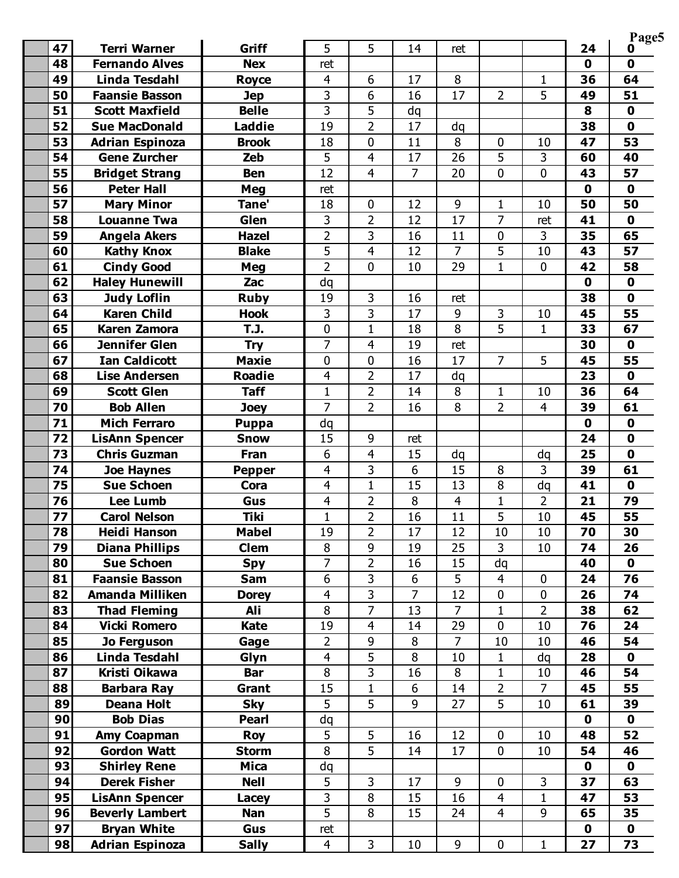|    |                        |               |                |                |                |                |                |                |              | Page5        |
|----|------------------------|---------------|----------------|----------------|----------------|----------------|----------------|----------------|--------------|--------------|
| 47 | <b>Terri Warner</b>    | Griff         | 5              | 5              | 14             | ret            |                |                | 24           | 0            |
| 48 | <b>Fernando Alves</b>  | <b>Nex</b>    | ret            |                |                |                |                |                | $\mathbf{0}$ | 0            |
| 49 | Linda Tesdahl          | <b>Royce</b>  | $\overline{4}$ | 6              | 17             | 8              |                | $\mathbf{1}$   | 36           | 64           |
| 50 | <b>Faansie Basson</b>  | <b>Jep</b>    | 3              | 6              | 16             | 17             | $\overline{2}$ | 5              | 49           | 51           |
| 51 | <b>Scott Maxfield</b>  | <b>Belle</b>  | 3              | 5              | dq             |                |                |                | 8            | $\mathbf 0$  |
| 52 | <b>Sue MacDonald</b>   | Laddie        | 19             | $\overline{2}$ | 17             | dq             |                |                | 38           | $\mathbf 0$  |
| 53 | <b>Adrian Espinoza</b> | <b>Brook</b>  | 18             | $\mathbf{0}$   | 11             | 8              | $\mathbf 0$    | 10             | 47           | 53           |
| 54 | <b>Gene Zurcher</b>    | Zeb           | 5              | 4              | 17             | 26             | 5              | 3              | 60           | 40           |
| 55 | <b>Bridget Strang</b>  | <b>Ben</b>    | 12             | $\overline{4}$ | $\overline{7}$ | 20             | $\mathbf 0$    | $\mathbf 0$    | 43           | 57           |
| 56 | <b>Peter Hall</b>      | Meg           | ret            |                |                |                |                |                | $\mathbf 0$  | $\mathbf 0$  |
| 57 | <b>Mary Minor</b>      | Tane'         | 18             | $\mathbf{0}$   | 12             | 9              | $\mathbf{1}$   | 10             | 50           | 50           |
| 58 | <b>Louanne Twa</b>     | Glen          | 3              | 2              | 12             | 17             | 7              | ret            | 41           | $\mathbf{0}$ |
| 59 | <b>Angela Akers</b>    | <b>Hazel</b>  | $\overline{2}$ | 3              | 16             | 11             | $\mathbf 0$    | $\overline{3}$ | 35           | 65           |
| 60 | <b>Kathy Knox</b>      | <b>Blake</b>  | 5              | $\overline{4}$ | 12             | $\overline{7}$ | 5              | 10             | 43           | 57           |
| 61 | <b>Cindy Good</b>      | Meg           | $\overline{2}$ | $\mathbf{0}$   | 10             | 29             | $\mathbf{1}$   | $\mathbf{0}$   | 42           | 58           |
| 62 | <b>Haley Hunewill</b>  | Zac           | dq             |                |                |                |                |                | $\mathbf 0$  | $\mathbf 0$  |
| 63 | <b>Judy Loflin</b>     | <b>Ruby</b>   | 19             | 3              | 16             | ret            |                |                | 38           | $\mathbf 0$  |
| 64 | <b>Karen Child</b>     | <b>Hook</b>   | 3              | $\overline{3}$ | 17             | 9              | 3              | 10             | 45           | 55           |
| 65 | <b>Karen Zamora</b>    | T.J.          | 0              | $\mathbf{1}$   | 18             | 8              | 5              | $\mathbf{1}$   | 33           | 67           |
| 66 | <b>Jennifer Glen</b>   | <b>Try</b>    | 7              | 4              | 19             | ret            |                |                | 30           | $\mathbf 0$  |
| 67 | <b>Ian Caldicott</b>   | <b>Maxie</b>  | $\mathbf 0$    | $\mathbf 0$    | 16             | 17             | $\overline{7}$ | 5              | 45           | 55           |
| 68 | <b>Lise Andersen</b>   | <b>Roadie</b> | $\overline{4}$ | $\overline{2}$ | 17             | dq             |                |                | 23           | $\mathbf 0$  |
| 69 | <b>Scott Glen</b>      | <b>Taff</b>   | $\mathbf{1}$   | $\overline{2}$ | 14             | 8              | $\mathbf{1}$   | 10             | 36           | 64           |
| 70 | <b>Bob Allen</b>       | <b>Joey</b>   | $\overline{7}$ | $\overline{2}$ | 16             | 8              | $\overline{2}$ | $\overline{4}$ | 39           | 61           |
| 71 | <b>Mich Ferraro</b>    | <b>Puppa</b>  | dq             |                |                |                |                |                | $\mathbf 0$  | $\mathbf 0$  |
| 72 | <b>LisAnn Spencer</b>  | <b>Snow</b>   | 15             | 9              | ret            |                |                |                | 24           | $\mathbf 0$  |
| 73 | <b>Chris Guzman</b>    | Fran          | 6              | $\overline{4}$ | 15             | dq             |                | dq             | 25           | $\mathbf 0$  |
| 74 | <b>Joe Haynes</b>      | <b>Pepper</b> | $\overline{4}$ | 3              | 6              | 15             | 8              | $\overline{3}$ | 39           | 61           |
| 75 | <b>Sue Schoen</b>      | Cora          | 4              | $\mathbf{1}$   | 15             | 13             | 8              | dq             | 41           | $\mathbf 0$  |
| 76 | <b>Lee Lumb</b>        | Gus           | 4              | 2              | 8              | $\overline{4}$ | $\mathbf{1}$   | $\overline{2}$ | 21           | 79           |
| 77 | <b>Carol Nelson</b>    | <b>Tiki</b>   | $\mathbf 1$    | $\overline{2}$ | 16             | 11             | 5              | 10             | 45           | 55           |
| 78 | <b>Heidi Hanson</b>    | Mabel         | 19             | 2              | 17             | 12             | 10             | 10             | 70           | 30           |
| 79 | <b>Diana Phillips</b>  | <b>Clem</b>   | 8              | 9              | 19             | 25             | $\overline{3}$ | 10             | 74           | 26           |
| 80 | <b>Sue Schoen</b>      | <b>Spy</b>    | $\overline{7}$ | $\overline{2}$ | 16             | 15             | dq             |                | 40           | $\mathbf 0$  |
| 81 | <b>Faansie Basson</b>  | Sam           | 6              | $\overline{3}$ | 6              | 5              | 4              | $\mathbf 0$    | 24           | 76           |
| 82 | <b>Amanda Milliken</b> | <b>Dorey</b>  | $\overline{4}$ | $\overline{3}$ | $\overline{7}$ | 12             | $\mathbf 0$    | $\mathbf 0$    | 26           | 74           |
| 83 | <b>Thad Fleming</b>    | Ali           | 8              | $\overline{7}$ | 13             | $\overline{7}$ | $\mathbf{1}$   | $\overline{2}$ | 38           | 62           |
| 84 | <b>Vicki Romero</b>    | Kate          | 19             | $\overline{4}$ | 14             | 29             | 0              | 10             | 76           | 24           |
| 85 | <b>Jo Ferguson</b>     | Gage          | $\overline{2}$ | 9              | 8              | $\overline{7}$ | 10             | 10             | 46           | 54           |
| 86 | Linda Tesdahl          | Glyn          | $\overline{4}$ | 5              | 8              | 10             | $\mathbf{1}$   | dq             | 28           | $\mathbf 0$  |
| 87 | Kristi Oikawa          | Bar           | 8              | 3              | 16             | 8              | $\mathbf{1}$   | 10             | 46           | 54           |
| 88 | <b>Barbara Ray</b>     | Grant         | 15             | $\mathbf{1}$   | 6              | 14             | $\overline{2}$ | $\overline{7}$ | 45           | 55           |
| 89 | <b>Deana Holt</b>      | <b>Sky</b>    | 5              | 5              | 9              | 27             | 5              | 10             | 61           | 39           |
| 90 | <b>Bob Dias</b>        | Pearl         | dq             |                |                |                |                |                | $\mathbf 0$  | $\mathbf 0$  |
| 91 | <b>Amy Coapman</b>     | <b>Roy</b>    | 5              | 5              | 16             | 12             | $\mathbf 0$    | 10             | 48           | 52           |
| 92 | <b>Gordon Watt</b>     | <b>Storm</b>  | 8              | 5              | 14             | 17             | $\mathbf 0$    | 10             | 54           | 46           |
| 93 | <b>Shirley Rene</b>    | Mica          | dq             |                |                |                |                |                | $\mathbf 0$  | $\mathbf 0$  |
| 94 | <b>Derek Fisher</b>    | <b>Nell</b>   | 5              | 3              | 17             | 9              | $\mathbf 0$    | $\overline{3}$ | 37           | 63           |
| 95 | <b>LisAnn Spencer</b>  | Lacey         | $\overline{3}$ | 8              | 15             | 16             | $\overline{4}$ | $\mathbf{1}$   | 47           | 53           |
| 96 | <b>Beverly Lambert</b> | <b>Nan</b>    | 5              | 8              | 15             | 24             | $\overline{4}$ | 9              | 65           | 35           |
| 97 | <b>Bryan White</b>     | Gus           | ret            |                |                |                |                |                | $\mathbf 0$  | $\mathbf 0$  |
| 98 | <b>Adrian Espinoza</b> | <b>Sally</b>  | $\overline{4}$ | $\mathbf{3}$   | 10             | 9              | $\bf{0}$       | 1              | 27           | 73           |
|    |                        |               |                |                |                |                |                |                |              |              |